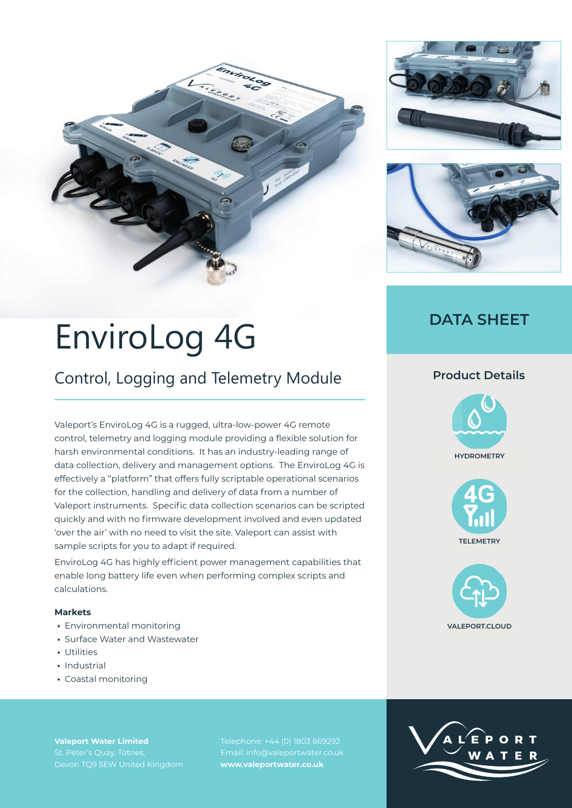





## **DATA SHEET**

# EnviroLog 4G

# Control, Logging and Telemetry Module

Valeport's EnviroLog 4G is a rugged, ultra-low-power 4G remote control, telemetry and logging module providing a flexible solution for harsh environmental conditions. It has an industry-leading range of data collection, delivery and management options. The EnviroLog 4G is effectively a "platform" that offers fully scriptable operational scenarios for the collection, handling and delivery of data from a number of Valeport instruments. Specific data collection scenarios can be scripted quickly and with no firmware development involved and even updated 'over the air' with no need to visit the site. Valeport can assist with sample scripts for you to adapt if required.

EnviroLog 4G has highly efficient power management capabilities that enable long battery life even when performing complex scripts and calculations.

### **Markets**

- **•** Environmental monitoring
- **•** Surface Water and Wastewater
- **•** Utilities
- **•** Industrial
- **•** Coastal monitoring

**Valeport Water Limited** Devon TQ9 5EW United Kingdom Telephone: +44 (0) 1803 869292 Email: info@valeportwater.co.uk **www.valeportwater.co.uk**

### **Product Details**